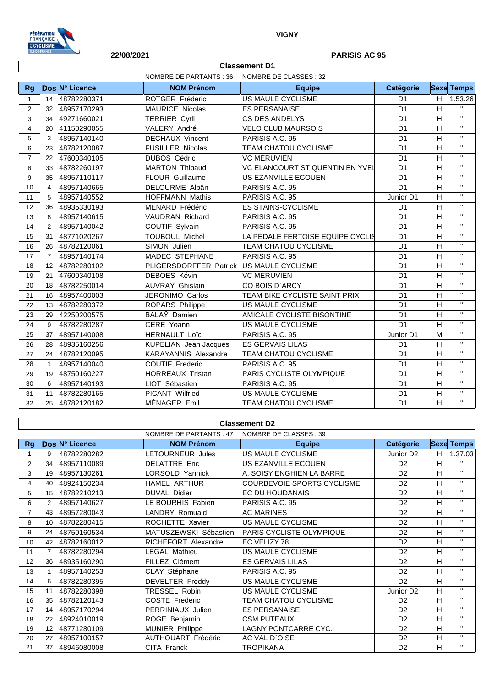

#### **22/08/2021 PARISIS AC 95**

|                | NOMBRE DE PARTANTS : 36<br>NOMBRE DE CLASSES : 32 |                |                              |                                  |                  |   |                         |
|----------------|---------------------------------------------------|----------------|------------------------------|----------------------------------|------------------|---|-------------------------|
| <b>Rg</b>      |                                                   | Dos N° Licence | <b>NOM Prénom</b>            | <b>Equipe</b>                    | <b>Catégorie</b> |   | <b>Sexe Temps</b>       |
| $\mathbf{1}$   | 14                                                | 48782280371    | ROTGER Frédéric              | US MAULE CYCLISME                | D <sub>1</sub>   | H | 1.53.26                 |
| $\overline{2}$ | 32                                                | 48957170293    | <b>MAURICE Nicolas</b>       | <b>ES PERSANAISE</b>             | D <sub>1</sub>   | H | $\mathbf{H}$            |
| 3              | 34                                                | 49271660021    | <b>TERRIER Cyril</b>         | CS DES ANDELYS                   | D <sub>1</sub>   | H | $\overline{\mathbf{u}}$ |
| $\overline{4}$ | 20                                                | 41150290055    | VALERY André                 | <b>VELO CLUB MAURSOIS</b>        | D <sub>1</sub>   | н | $\mathbf{H}$            |
| 5              | 3                                                 | 48957140140    | <b>DECHAUX Vincent</b>       | PARISIS A.C. 95                  | D <sub>1</sub>   | H | $\mathbf{H}$            |
| 6              | 23                                                | 48782120087    | <b>FUSILLER Nicolas</b>      | TEAM CHATOU CYCLISME             | D <sub>1</sub>   | н | $\mathbf{H}$            |
| $\overline{7}$ | 22                                                | 47600340105    | <b>DUBOS Cédric</b>          | <b>VC MERUVIEN</b>               | D <sub>1</sub>   | н | $\bar{\mathbf{H}}$      |
| 8              | 33                                                | 48782260197    | <b>MARTON Thibaud</b>        | VC ELANCOURT ST QUENTIN EN YVEI  | D <sub>1</sub>   | H | $\bar{\mathbf{H}}$      |
| 9              | 35                                                | 48957110117    | <b>FLOUR Guillaume</b>       | US EZANVILLE ECOUEN              | D <sub>1</sub>   | H | $\mathbf{H}$            |
| 10             | 4                                                 | 48957140665    | DELOURME Albân               | PARISIS A.C. 95                  | D <sub>1</sub>   | H | $\mathbf{H}$            |
| 11             | 5                                                 | 48957140552    | <b>HOFFMANN Mathis</b>       | PARISIS A.C. 95                  | Junior D1        | H | $\bar{\mathbf{H}}$      |
| 12             | 36                                                | 48935330193    | MENARD Frédéric              | <b>ES STAINS-CYCLISME</b>        | D <sub>1</sub>   | н | $\mathbf{H}$            |
| 13             | 8                                                 | 48957140615    | <b>VAUDRAN Richard</b>       | PARISIS A.C. 95                  | D <sub>1</sub>   | H | $\bar{\mathbf{H}}$      |
| 14             | 2                                                 | 48957140042    | COUTIF Sylvain               | PARISIS A.C. 95                  | D <sub>1</sub>   | н | $\mathbf{H}$            |
| 15             | 31                                                | 48771020267    | <b>TOUBOUL Michel</b>        | LA PÉDALE FERTOISE EQUIPE CYCLIS | D <sub>1</sub>   | н | $\bar{\mathbf{H}}$      |
| 16             | 26                                                | 48782120061    | SIMON Julien                 | TEAM CHATOU CYCLISME             | D <sub>1</sub>   | H | $\bar{\mathbf{H}}$      |
| 17             | $\overline{7}$                                    | 48957140174    | MADEC STEPHANE               | PARISIS A.C. 95                  | D <sub>1</sub>   | H | $\mathbf{H}$            |
| 18             | $12 \overline{ }$                                 | 48782280102    | PLIGERSDORFFER Patrick       | US MAULE CYCLISME                | D <sub>1</sub>   | н | $\mathbf{H}$            |
| 19             | 21                                                | 47600340108    | <b>DEBOES Kévin</b>          | <b>VC MERUVIEN</b>               | D <sub>1</sub>   | н | $\mathbf{H}$            |
| 20             | 18                                                | 48782250014    | <b>AUVRAY Ghislain</b>       | CO BOIS D'ARCY                   | D <sub>1</sub>   | H | $\mathbf{H}$            |
| 21             | 16                                                | 48957400003    | JERONIMO Carlos              | TEAM BIKE CYCLISTE SAINT PRIX    | D <sub>1</sub>   | Η | $\mathbf{H}$            |
| 22             | 13                                                | 48782280372    | ROPARS Philippe              | US MAULE CYCLISME                | D <sub>1</sub>   | н | $\mathbf{H}$            |
| 23             | 29                                                | 42250200575    | BALAŸ Damien                 | AMICALE CYCLISTE BISONTINE       | D <sub>1</sub>   | H | $\bar{\mathbf{H}}$      |
| 24             | 9                                                 | 48782280287    | CERE Yoann                   | US MAULE CYCLISME                | D <sub>1</sub>   | н | $\mathbf{H}$            |
| 25             | 37                                                | 48957140008    | <b>HERNAULT Loïc</b>         | PARISIS A.C. 95                  | Junior D1        | M | $\bar{\mathbf{H}}$      |
| 26             | 28                                                | 48935160256    | <b>KUPELIAN</b> Jean Jacques | <b>ES GERVAIS LILAS</b>          | D <sub>1</sub>   | H | $\mathbf{H}$            |
| 27             | 24                                                | 48782120095    | <b>KARAYANNIS Alexandre</b>  | <b>TEAM CHATOU CYCLISME</b>      | D <sub>1</sub>   | H | $\mathbf{H}$            |
| 28             | $\mathbf{1}$                                      | 48957140040    | <b>COUTIF Frederic</b>       | PARISIS A.C. 95                  | D <sub>1</sub>   | H | $\mathbf{H}$            |
| 29             | 19                                                | 48750160227    | <b>HORREAUX Tristan</b>      | PARIS CYCLISTE OLYMPIQUE         | D <sub>1</sub>   | H | $\mathbf{H}$            |
| 30             | 6                                                 | 48957140193    | LIOT Sébastien               | PARISIS A.C. 95                  | D <sub>1</sub>   | H | $\mathbf{H}$            |
| 31             | 11                                                | 48782280165    | <b>PICANT Wilfried</b>       | US MAULE CYCLISME                | D <sub>1</sub>   | H | $\mathbf{H}$            |
| 32             | 25                                                | 48782120182    | MÉNAGER Emil                 | <b>TEAM CHATOU CYCLISME</b>      | D <sub>1</sub>   | H | $\bar{\mathbf{H}}$      |

**Classement D1**

### NOMBRE DE PARTANTS : 47 NOMBRE DE CLASSES : 39 **Rg Dos N° Licence NOM Prénom Equipe Catégorie Sexe Temps** 1 9 48782280282 LETOURNEUR Jules US MAULE CYCLISME Junior D2 H 1.37.03 2 34 48957110089 DELATTRE Eric US EZANVILLE ECOUEN D2 H 3 19 48957130261 LORSOLD Yannick A. SOISY ENGHIEN LA BARRE D2 H | " 40 48924150234 HAMEL ARTHUR COURBEVOIE SPORTS CYCLISME D2 H '' 15 48782210213 DUVAL Didier EC DU HOUDANAIS D2 H '' 6 2 48957140627 LE BOURHIS Fabien PARISIS A.C. 95 D2 H " 43 48957280043 LANDRY Romuald AC MARINES D2 H '' 8 10 48782280415 ROCHETTE Xavier US MAULE CYCLISME D2 H <sup>"</sup> 9 24 48750160534 MATUSZEWSKI Sébastien PARIS CYCLISTE OLYMPIQUE D2 H | " 42 48782160012 RICHEFORT Alexandre EC VELIZY 78 D2 H '' 7 48782280294 LEGAL Mathieu US MAULE CYCLISME D2 H '' 36 48935160290 FILLEZ Clément ES GERVAIS LILAS D2 H '' 13 1 48957140253 CLAY Stéphane PARISIS A.C. 95 D2 H '' 6 48782280395 DEVELTER Freddy US MAULE CYCLISME D2 H '' 11 48782280398 TRESSEL Robin US MAULE CYCLISME Junior D2 H '' 16 35 48782120143 COSTE Frederic TEAM CHATOU CYCLISME D2 H '<br>17 14 48957170294 PERRINIALLY Julien ES PERSANAISE 17 | 14 |48957170294 | PERRINIAUX Julien | ES PERSANAISE | D2 | H 18 22 48924010019 ROGE Benjamin CSM PUTEAUX | D2 | H | " 19 12 48771280109 MUNIER Philippe LAGNY PONTCARRE CYC. D2 H '' 20 27 48957100157 AUTHOUART Frédéric AC VAL D`OISE D2 H | " 37 48946080008 CITA Franck TROPIKANA D2 H '' **Classement D2**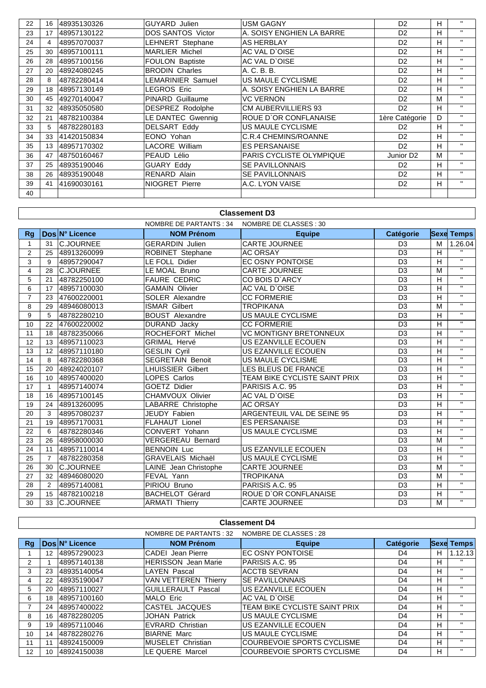| 22 | 16             | 48935130326 | <b>GUYARD Julien</b>     | USM GAGNY                       | D <sub>2</sub>        | н  | $\mathbf{H}$ |
|----|----------------|-------------|--------------------------|---------------------------------|-----------------------|----|--------------|
| 23 | 17             | 48957130122 | <b>DOS SANTOS Victor</b> | A. SOISY ENGHIEN LA BARRE       | D <sub>2</sub>        | H. | $\mathbf{H}$ |
| 24 | $\overline{4}$ | 48957070037 | <b>LEHNERT Stephane</b>  | <b>AS HERBLAY</b>               | D <sub>2</sub>        | H. | $\mathbf{H}$ |
| 25 | 30             | 48957100111 | <b>MARLIER Michel</b>    | AC VAL D'OISE                   | D <sub>2</sub>        | H. | $\mathbf{H}$ |
| 26 | 28             | 48957100156 | FOULON Baptiste          | AC VAL D'OISE                   | D <sub>2</sub>        | H  | $\mathbf{H}$ |
| 27 | 20             | 48924080245 | <b>BRODIN Charles</b>    | A. C. B. B.                     | D <sub>2</sub>        | H. | $\mathbf{H}$ |
| 28 | 8              | 48782280414 | LEMARINIER Samuel        | US MAULE CYCLISME               | D <sub>2</sub>        | н  | $\mathbf{H}$ |
| 29 | 18             | 48957130149 | LEGROS Eric              | A. SOISY ENGHIEN LA BARRE       | D <sub>2</sub>        | н  | $\mathbf{H}$ |
| 30 | 45             | 49270140047 | PINARD Guillaume         | VC VERNON                       | D <sub>2</sub>        | м  | $\mathbf{H}$ |
| 31 | 32             | 48935050580 | DESPREZ Rodolphe         | <b>CM AUBERVILLIERS 93</b>      | D <sub>2</sub>        | н  | $\mathbf{H}$ |
| 32 | 21             | 48782100384 | LE DANTEC Gwennig        | ROUE D'OR CONFLANAISE           | 1ère Catégorie        | D  | $\mathbf{H}$ |
| 33 | 5              | 48782280183 | <b>DELSART Eddy</b>      | US MAULE CYCLISME               | D <sub>2</sub>        | H. | $\mathbf{H}$ |
| 34 | 33             | 41420150834 | EONO Yohan               | C.R.4 CHEMINS/ROANNE            | D <sub>2</sub>        | H. | $\mathbf{H}$ |
| 35 | 13             | 48957170302 | LACORE William           | <b>ES PERSANAISE</b>            | D <sub>2</sub>        | н  | $\mathbf{H}$ |
| 36 | 47             | 48750160467 | PEAUD Lélio              | <b>PARIS CYCLISTE OLYMPIQUE</b> | Junior D <sub>2</sub> | М  | $\mathbf{H}$ |
| 37 | 25             | 48935190046 | <b>GUARY Eddy</b>        | <b>SE PAVILLONNAIS</b>          | D <sub>2</sub>        | н  | $\mathbf{H}$ |
| 38 | 26             | 48935190048 | <b>RENARD Alain</b>      | <b>SE PAVILLONNAIS</b>          | D <sub>2</sub>        | н  | $\mathbf{H}$ |
| 39 | 41             | 41690030161 | <b>NIOGRET Pierre</b>    | A.C. LYON VAISE                 | D <sub>2</sub>        | H  | $\mathbf{H}$ |
| 40 |                |             |                          |                                 |                       |    |              |

## **Classement D3**

|                |                 |                  | NOMBRE DE PARTANTS : 34  | NOMBRE DE CLASSES : 30        |                  |   |                   |
|----------------|-----------------|------------------|--------------------------|-------------------------------|------------------|---|-------------------|
| Rq             |                 | Dos N° Licence   | <b>NOM Prénom</b>        | <b>Equipe</b>                 | <b>Catégorie</b> |   | <b>Sexe Temps</b> |
| 1              | 31              | <b>C.JOURNEE</b> | <b>GERARDIN Julien</b>   | <b>CARTE JOURNEE</b>          | D <sub>3</sub>   | M | 1.26.04           |
| $\overline{2}$ | 25              | 48913260099      | ROBINET Stephane         | <b>AC ORSAY</b>               | D <sub>3</sub>   | H | $\mathbf{H}$      |
| 3              | 9               | 48957290047      | LE FOLL Didier           | <b>EC OSNY PONTOISE</b>       | D <sub>3</sub>   | H | $\mathbf{H}$      |
| $\overline{4}$ | 28              | <b>C.JOURNEE</b> | LE MOAL Bruno            | <b>CARTE JOURNEE</b>          | D <sub>3</sub>   | M | $\mathbf{H}$      |
| 5              | 21              | 48782250100      | <b>FAURE CEDRIC</b>      | CO BOIS D'ARCY                | D <sub>3</sub>   | H | $\mathbf{H}$      |
| 6              | 17              | 48957100030      | <b>GAMAIN Olivier</b>    | AC VAL D'OISE                 | D <sub>3</sub>   | H | $\mathbf{H}$      |
| $\overline{7}$ | 23              | 47600220001      | SOLER Alexandre          | <b>CC FORMERIE</b>            | D <sub>3</sub>   | Н | $\mathbf{H}$      |
| 8              | 29              | 48946080013      | <b>ISMAR Gilbert</b>     | <b>TROPIKANA</b>              | D <sub>3</sub>   | M | $\mathbf{H}$      |
| 9              | 5               | 48782280210      | <b>BOUST Alexandre</b>   | US MAULE CYCLISME             | D <sub>3</sub>   | H | $\mathbf{H}$      |
| 10             | 22              | 47600220002      | DURAND Jacky             | <b>CC FORMERIE</b>            | D <sub>3</sub>   | н | $\mathbf{H}$      |
| 11             | 18              | 48782350066      | ROCHEFORT Michel         | <b>VC MONTIGNY BRETONNEUX</b> | D <sub>3</sub>   | H | $\mathbf{H}$      |
| 12             | 13              | 48957110023      | <b>GRIMAL Hervé</b>      | US EZANVILLE ECOUEN           | D <sub>3</sub>   | H | $\mathbf{H}$      |
| 13             | 12              | 48957110180      | <b>GESLIN Cyril</b>      | US EZANVILLE ECOUEN           | D <sub>3</sub>   | H | $\mathbf{H}$      |
| 14             | 8               | 48782280368      | <b>SEGRETAIN Benoit</b>  | US MAULE CYCLISME             | D <sub>3</sub>   | H | $\mathbf{H}$      |
| 15             | 20              | 48924020107      | <b>LHUISSIER Gilbert</b> | LES BLEUS DE FRANCE           | D <sub>3</sub>   | H | $\mathbf{H}$      |
| 16             | 10 <sup>1</sup> | 48957400020      | <b>LOPES Carlos</b>      | TEAM BIKE CYCLISTE SAINT PRIX | D <sub>3</sub>   | Н | $\mathbf{u}$      |
| 17             | $\mathbf 1$     | 48957140074      | <b>GOETZ Didier</b>      | PARISIS A.C. 95               | D <sub>3</sub>   | н | $\mathbf{H}$      |
| 18             | 16              | 48957100145      | CHAMVOUX Olivier         | AC VAL D'OISE                 | D <sub>3</sub>   | H | $\mathbf{H}$      |
| 19             | 24              | 48913260095      | LABARRE Christophe       | <b>AC ORSAY</b>               | D <sub>3</sub>   | H | $\mathbf{H}$      |
| 20             | 3               | 48957080237      | JEUDY Fabien             | ARGENTEUIL VAL DE SEINE 95    | D <sub>3</sub>   | H | $\mathbf{H}$      |
| 21             | 19              | 48957170031      | <b>FLAHAUT Lionel</b>    | <b>ES PERSANAISE</b>          | D <sub>3</sub>   | H | $\mathbf{H}$      |
| 22             | 6               | 48782280346      | CONVERT Yohann           | US MAULE CYCLISME             | D <sub>3</sub>   | H | $\mathbf{H}$      |
| 23             | 26              | 48958000030      | <b>VERGEREAU Bernard</b> |                               | D <sub>3</sub>   | M | $\mathbf{H}$      |
| 24             | 11              | 48957110014      | <b>BENNOIN Luc</b>       | US EZANVILLE ECOUEN           | D <sub>3</sub>   | н | $\mathbf{H}$      |
| 25             | $\overline{7}$  | 48782280358      | <b>GRAVELAIS Michaël</b> | US MAULE CYCLISME             | D <sub>3</sub>   | H | $\mathbf{H}$      |
| 26             | 30              | <b>C.JOURNEE</b> | LAINE Jean Christophe    | <b>CARTE JOURNEE</b>          | D <sub>3</sub>   | M | $\mathbf{H}$      |
| 27             | 32              | 48946080020      | FEVAL Yann               | <b>TROPIKANA</b>              | D <sub>3</sub>   | M | $\mathbf{H}$      |
| 28             | $\overline{2}$  | 48957140081      | PIRIOU Bruno             | PARISIS A.C. 95               | D <sub>3</sub>   | н | $\mathbf{H}$      |
| 29             | 15              | 48782100218      | <b>BACHELOT Gérard</b>   | ROUE D'OR CONFLANAISE         | D <sub>3</sub>   | Н | $\mathbf{H}$      |
| 30             | 33              | C.JOURNEE        | <b>ARMATI Thierry</b>    | <b>CARTE JOURNEE</b>          | D <sub>3</sub>   | M | $\mathbf{H}$      |

| <b>Classement D4</b> |                                                   |                |                             |                                   |           |   |                   |
|----------------------|---------------------------------------------------|----------------|-----------------------------|-----------------------------------|-----------|---|-------------------|
|                      | NOMBRE DE CLASSES : 28<br>NOMBRE DE PARTANTS : 32 |                |                             |                                   |           |   |                   |
| Rg                   |                                                   | Dos N° Licence | <b>NOM Prénom</b>           | <b>Equipe</b>                     | Catégorie |   | <b>Sexe Temps</b> |
|                      | 12                                                | 48957290023    | <b>CADEI</b> Jean Pierre    | <b>EC OSNY PONTOISE</b>           | D4        | н | 1.12.13           |
| 2                    |                                                   | 48957140138    | <b>HERISSON</b> Jean Marie  | PARISIS A.C. 95                   | D4        | н | $\mathbf{H}$      |
| 3                    | 23                                                | 48935140054    | <b>LAYEN Pascal</b>         | <b>ACCTB SEVRAN</b>               | D4        | н | $\mathbf{H}$      |
| 4                    | 22                                                | 48935190047    | <b>VAN VETTEREN Thierry</b> | <b>SE PAVILLONNAIS</b>            | D4        | H | $\mathbf{H}$      |
| 5                    | 20                                                | 48957110027    | <b>GUILLERAULT Pascal</b>   | US EZANVILLE ECOUEN               | D4        | н | $\mathbf{H}$      |
| 6                    | 18                                                | 48957100160    | <b>MALO Eric</b>            | AC VAL D'OISE                     | D4        | н |                   |
|                      | 24                                                | 48957400022    | CASTEL JACQUES              | TEAM BIKE CYCLISTE SAINT PRIX     | D4        | н | $\mathbf{H}$      |
| 8                    | 16                                                | 48782280205    | <b>JOHAN Patrick</b>        | US MAULE CYCLISME                 | D4        | н | $\mathbf{H}$      |
| 9                    | 19                                                | 48957110046    | <b>EVRARD Christian</b>     | US EZANVILLE ECOUEN               | D4        | н | $\mathbf{H}$      |
| 10                   | 14                                                | 48782280276    | <b>BIARNE Marc</b>          | US MAULE CYCLISME                 | D4        | н |                   |
| 11                   | 11                                                | 48924150009    | <b>MUSELET Christian</b>    | <b>COURBEVOIE SPORTS CYCLISME</b> | D4        | н |                   |
| 12                   | 10                                                | 48924150038    | LE QUERE Marcel             | <b>COURBEVOIE SPORTS CYCLISME</b> | D4        | H |                   |